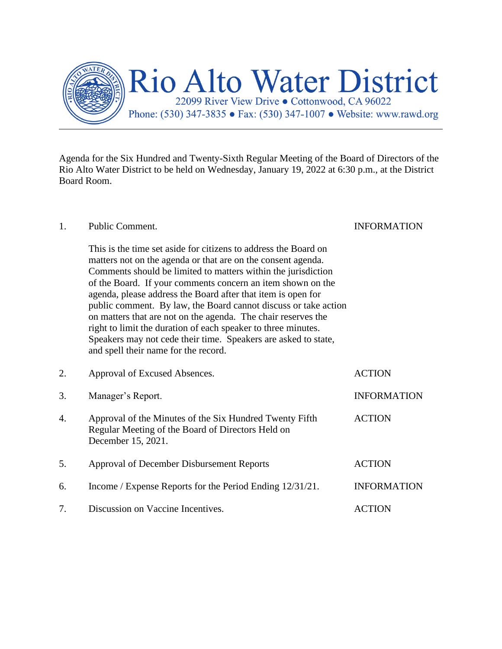

Agenda for the Six Hundred and Twenty-Sixth Regular Meeting of the Board of Directors of the Rio Alto Water District to be held on Wednesday, January 19, 2022 at 6:30 p.m., at the District Board Room.

## 1. Public Comment. INFORMATION This is the time set aside for citizens to address the Board on matters not on the agenda or that are on the consent agenda. Comments should be limited to matters within the jurisdiction of the Board. If your comments concern an item shown on the agenda, please address the Board after that item is open for public comment. By law, the Board cannot discuss or take action on matters that are not on the agenda. The chair reserves the right to limit the duration of each speaker to three minutes. Speakers may not cede their time. Speakers are asked to state, and spell their name for the record. 2. Approval of Excused Absences. ACTION 3. Manager's Report. INFORMATION 4. Approval of the Minutes of the Six Hundred Twenty Fifth ACTION Regular Meeting of the Board of Directors Held on December 15, 2021. 5. Approval of December Disbursement Reports ACTION 6. Income / Expense Reports for the Period Ending 12/31/21. INFORMATION 7. Discussion on Vaccine Incentives. ACTION